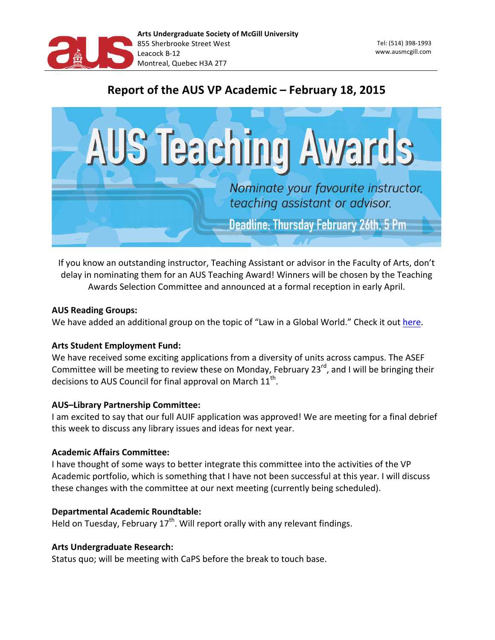

Tel: (514) 398-1993 www.ausmcgill.com 

# Report of the AUS VP Academic – February 18, 2015



If you know an outstanding instructor, Teaching Assistant or advisor in the Faculty of Arts, don't delay in nominating them for an AUS Teaching Award! Winners will be chosen by the Teaching Awards Selection Committee and announced at a formal reception in early April.

# **AUS Reading Groups:**

We have added an additional group on the topic of "Law in a Global World." Check it out [here.](http://ausmcgill.com/en/aus-reading-groups-are-here/)

## **Arts Student Employment Fund:**

We have received some exciting applications from a diversity of units across campus. The ASEF Committee will be meeting to review these on Monday, February  $23^{rd}$ , and I will be bringing their decisions to AUS Council for final approval on March  $11<sup>th</sup>$ .

# **AUS-Library Partnership Committee:**

I am excited to say that our full AUIF application was approved! We are meeting for a final debrief this week to discuss any library issues and ideas for next year.

## **Academic Affairs Committee:**

I have thought of some ways to better integrate this committee into the activities of the VP Academic portfolio, which is something that I have not been successful at this year. I will discuss these changes with the committee at our next meeting (currently being scheduled).

# **Departmental Academic Roundtable:**

Held on Tuesday, February  $17<sup>th</sup>$ . Will report orally with any relevant findings.

## **Arts Undergraduate Research:**

Status quo; will be meeting with CaPS before the break to touch base.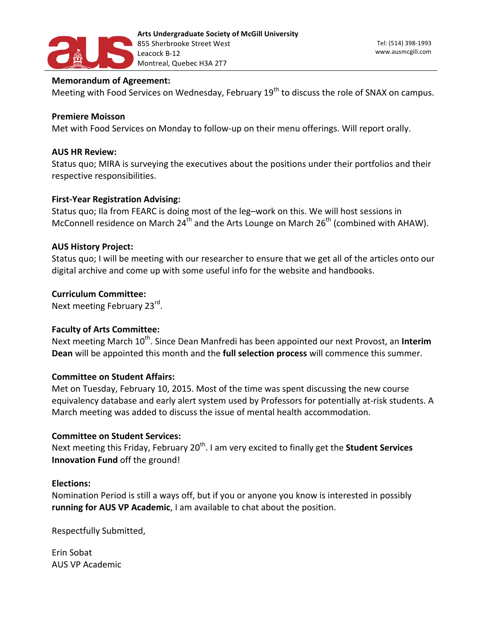

#### **Memorandum of Agreement:**

Meeting with Food Services on Wednesday, February 19<sup>th</sup> to discuss the role of SNAX on campus.

#### **Premiere Moisson**

Met with Food Services on Monday to follow-up on their menu offerings. Will report orally.

#### **AUS HR Review:**

Status quo; MIRA is surveying the executives about the positions under their portfolios and their respective responsibilities.

#### **First-Year Registration Advising:**

Status quo; Ila from FEARC is doing most of the leg-work on this. We will host sessions in McConnell residence on March 24<sup>th</sup> and the Arts Lounge on March 26<sup>th</sup> (combined with AHAW).

#### **AUS History Project:**

Status quo; I will be meeting with our researcher to ensure that we get all of the articles onto our digital archive and come up with some useful info for the website and handbooks.

#### **Curriculum 
 Committee:**

Next meeting February 23<sup>rd</sup>.

# **Faculty of Arts Committee:**

Next meeting March 10<sup>th</sup>. Since Dean Manfredi has been appointed our next Provost, an Interim **Dean** will be appointed this month and the full selection process will commence this summer.

#### **Committee on Student Affairs:**

Met on Tuesday, February 10, 2015. Most of the time was spent discussing the new course equivalency database and early alert system used by Professors for potentially at-risk students. A March meeting was added to discuss the issue of mental health accommodation.

#### **Committee on Student Services:**

Next meeting this Friday, February 20<sup>th</sup>. I am very excited to finally get the **Student Services Innovation Fund** off the ground!

#### **Elections:**

Nomination Period is still a ways off, but if you or anyone you know is interested in possibly **running for AUS VP Academic**, I am available to chat about the position.

Respectfully Submitted,

Erin 
 Sobat **AUS VP Academic**